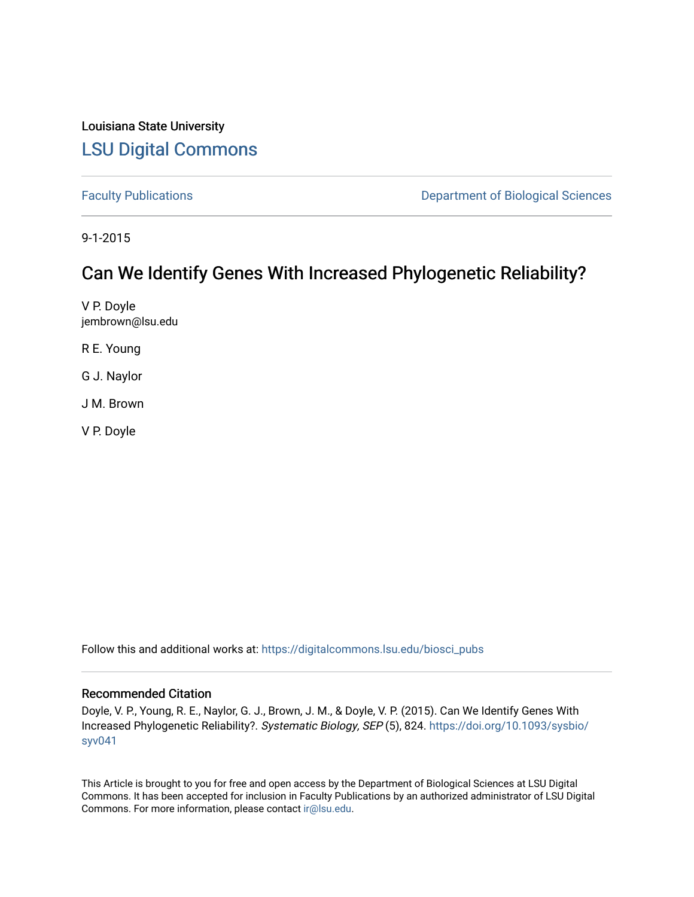# Louisiana State University [LSU Digital Commons](https://digitalcommons.lsu.edu/)

[Faculty Publications](https://digitalcommons.lsu.edu/biosci_pubs) **Exercise 2 and Table 2 and Table 2 and Table 2 and Table 2 and Table 2 and Table 2 and Table 2 and Table 2 and Table 2 and Table 2 and Table 2 and Table 2 and Table 2 and Table 2 and Table 2 and Table** 

9-1-2015

# Can We Identify Genes With Increased Phylogenetic Reliability?

V P. Doyle jembrown@lsu.edu

R E. Young

G J. Naylor

J M. Brown

V P. Doyle

Follow this and additional works at: [https://digitalcommons.lsu.edu/biosci\\_pubs](https://digitalcommons.lsu.edu/biosci_pubs?utm_source=digitalcommons.lsu.edu%2Fbiosci_pubs%2F3494&utm_medium=PDF&utm_campaign=PDFCoverPages)

# Recommended Citation

Doyle, V. P., Young, R. E., Naylor, G. J., Brown, J. M., & Doyle, V. P. (2015). Can We Identify Genes With Increased Phylogenetic Reliability?. Systematic Biology, SEP (5), 824. [https://doi.org/10.1093/sysbio/](https://doi.org/10.1093/sysbio/syv041) [syv041](https://doi.org/10.1093/sysbio/syv041) 

This Article is brought to you for free and open access by the Department of Biological Sciences at LSU Digital Commons. It has been accepted for inclusion in Faculty Publications by an authorized administrator of LSU Digital Commons. For more information, please contact [ir@lsu.edu](mailto:ir@lsu.edu).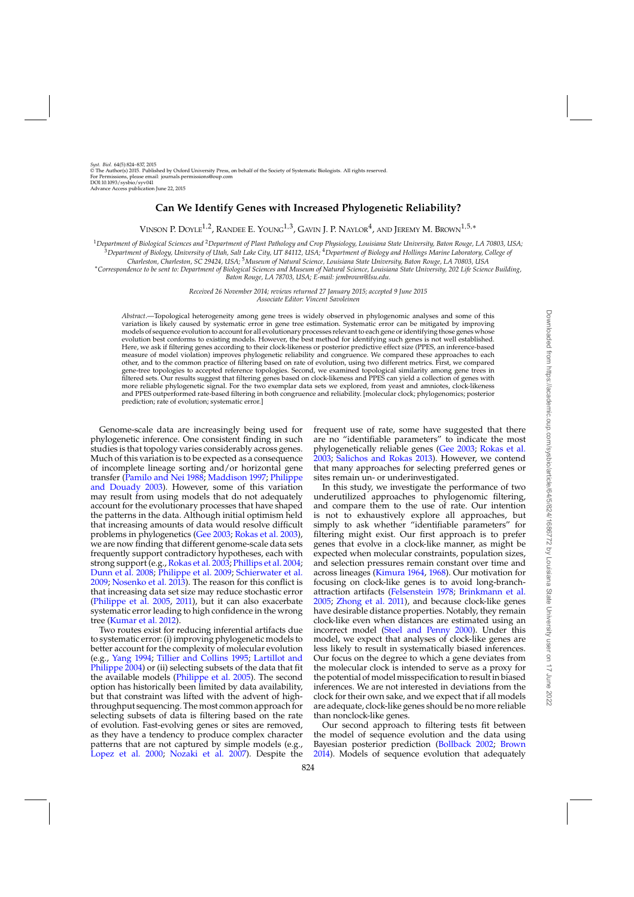# **Can We Identify Genes with Increased Phylogenetic Reliability?**

VINSON P. DOYLE<sup>1,2</sup>, RANDEE E. YOUNG<sup>1,3</sup>, GAVIN J. P. NAYLOR<sup>4</sup>, AND JEREMY M. BROWN<sup>1,5,\*</sup>

<sup>1</sup>*Department of Biological Sciences and* <sup>2</sup>*Department of Plant Pathology and Crop Physiology, Louisiana State University, Baton Rouge, LA 70803, USA;* <sup>3</sup>*Department of Biology, University of Utah, Salt Lake City, UT 84112, USA;* <sup>4</sup>*Department of Biology and Hollings Marine Laboratory, College of Charleston, Charleston, SC 29424, USA;* <sup>5</sup>*Museum of Natural Science, Louisiana State University, Baton Rouge, LA 70803, USA*

∗*Correspondence to be sent to: Department of Biological Sciences and Museum of Natural Science, Louisiana State University, 202 Life Science Building,*

*Baton Rouge, LA 78703, USA; E-mail: jembrown@lsu.edu.*

*Received 26 November 2014; reviews returned 27 January 2015; accepted 9 June 2015 Associate Editor: Vincent Savoleinen*

*Abstract*.—Topological heterogeneity among gene trees is widely observed in phylogenomic analyses and some of this variation is likely caused by systematic error in gene tree estimation. Systematic error can be mitigated by improving models of sequence evolution to account for all evolutionary processes relevant to each gene or identifying those genes whose evolution best conforms to existing models. However, the best method for identifying such genes is not well established. Here, we ask if filtering genes according to their clock-likeness or posterior predictive effect size (PPES, an inference-based measure of model violation) improves phylogenetic reliability and congruence. We compared these approaches to each other, and to the common practice of filtering based on rate of evolution, using two different metrics. First, we compared gene-tree topologies to accepted reference topologies. Second, we examined topological similarity among gene trees in filtered sets. Our results suggest that filtering genes based on clock-likeness and PPES can yield a collection of genes with more reliable phylogenetic signal. For the two exemplar data sets we explored, from yeast and amniotes, clock-likeness and PPES outperformed rate-based filtering in both congruence and reliability. [molecular clock; phylogenomics; posterior prediction; rate of evolution; systematic error.]

Genome-scale data are increasingly being used for phylogenetic inference. One consistent finding in such studies is that topology varies considerably across genes. Much of this variation is to be expected as a consequence of incomplete lineage sorting and/or horizontal gene transfer [\(Pamilo and Nei 1988;](#page-13-0) [Maddison 1997;](#page-13-0) Philippe and Douady [2003](#page-13-0)). However, some of this variation may result from using models that do not adequately account for the evolutionary processes that have shaped the patterns in the data. Although initial optimism held that increasing amounts of data would resolve difficult problems in phylogenetics [\(Gee 2003](#page-13-0); [Rokas et al. 2003](#page-13-0)), we are now finding that different genome-scale data sets frequently support contradictory hypotheses, each with strong support (e.g., [Rokas et al. 2003](#page-13-0); [Phillips et al. 2004;](#page-13-0) [Dunn et al. 2008;](#page-13-0) [Philippe et al. 2009](#page-13-0); [Schierwater et al.](#page-14-0) [2009](#page-14-0); [Nosenko et al. 2013](#page-13-0)). The reason for this conflict is that increasing data set size may reduce stochastic error [\(Philippe et al. 2005,](#page-13-0) [2011](#page-13-0)), but it can also exacerbate systematic error leading to high confidence in the wrong tree [\(Kumar et al. 2012\)](#page-13-0).

Two routes exist for reducing inferential artifacts due to systematic error: (i) improving phylogenetic models to better account for the complexity of molecular evolution (e.g., [Yang 1994](#page-14-0); [Tillier and Collins 1995](#page-14-0)[;](#page-13-0) Lartillot and Philippe [2004\)](#page-13-0) or (ii) selecting subsets of the data that fit the available models [\(Philippe et al. 2005](#page-13-0)). The second option has historically been limited by data availability, but that constraint was lifted with the advent of highthroughput sequencing. The most common approach for selecting subsets of data is filtering based on the rate of evolution. Fast-evolving genes or sites are removed, as they have a tendency to produce complex character patterns that are not captured by simple models (e.g., [Lopez et al. 2000](#page-13-0); [Nozaki et al. 2007](#page-13-0)). Despite the

frequent use of rate, some have suggested that there are no "identifiable parameters" to indicate the most phylogenetically reliable genes [\(Gee 2003;](#page-13-0) [Rokas et al.](#page-13-0) [2003;](#page-13-0) [Salichos and Rokas 2013](#page-13-0)). However, we contend that many approaches for selecting preferred genes or sites remain un- or underinvestigated.

In this study, we investigate the performance of two underutilized approaches to phylogenomic filtering, and compare them to the use of rate. Our intention is not to exhaustively explore all approaches, but simply to ask whether "identifiable parameters" for filtering might exist. Our first approach is to prefer genes that evolve in a clock-like manner, as might be expected when molecular constraints, population sizes, and selection pressures remain constant over time and across lineages [\(Kimura 1964,](#page-13-0) [1968\)](#page-13-0). Our motivation for focusing on clock-like genes is to avoid long-branchattraction artifacts [\(Felsenstein 1978](#page-13-0); [Brinkmann et al.](#page-13-0) [2005;](#page-13-0) [Zhong et al. 2011](#page-14-0)), and because clock-like genes have desirable distance properties. Notably, they remain clock-like even when distances are estimated using an incorrect model [\(Steel and Penny 2000](#page-14-0)). Under this model, we expect that analyses of clock-like genes are less likely to result in systematically biased inferences. Our focus on the degree to which a gene deviates from the molecular clock is intended to serve as a proxy for the potential of model misspecification to result in biased inferences. We are not interested in deviations from the clock for their own sake, and we expect that if all models are adequate, clock-like genes should be no more reliable than nonclock-like genes.

Our second approach to filtering tests fit between the model of sequence evolution and the data using Bayesian posterior prediction [\(Bollback 2002](#page-13-0); [Brown](#page-13-0) [2014](#page-13-0)). Models of sequence evolution that adequately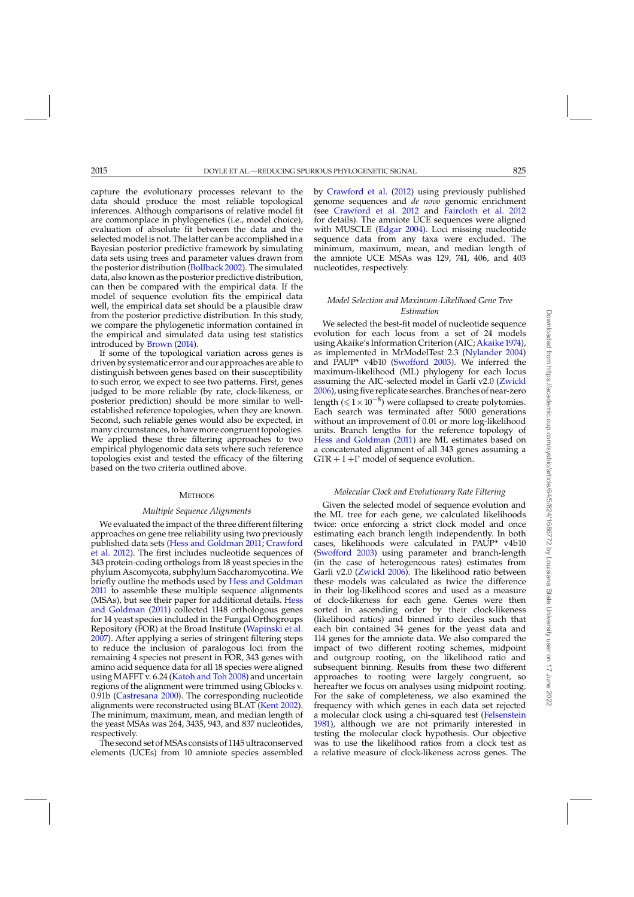capture the evolutionary processes relevant to the data should produce the most reliable topological inferences. Although comparisons of relative model fit are commonplace in phylogenetics (i.e., model choice), evaluation of absolute fit between the data and the selected model is not. The latter can be accomplished in a Bayesian posterior predictive framework by simulating data sets using trees and parameter values drawn from the posterior distribution [\(Bollback 2002\)](#page-13-0). The simulated data, also known as the posterior predictive distribution, can then be compared with the empirical data. If the model of sequence evolution fits the empirical data well, the empirical data set should be a plausible draw from the posterior predictive distribution. In this study, we compare the phylogenetic information contained in the empirical and simulated data using test statistics introduced by [Brown](#page-13-0) [\(2014\)](#page-13-0).

If some of the topological variation across genes is driven by systematic error and our approaches are able to distinguish between genes based on their susceptibility to such error, we expect to see two patterns. First, genes judged to be more reliable (by rate, clock-likeness, or posterior prediction) should be more similar to wellestablished reference topologies, when they are known. Second, such reliable genes would also be expected, in many circumstances, to have more congruent topologies. We applied these three filtering approaches to two empirical phylogenomic data sets where such reference topologies exist and tested the efficacy of the filtering based on the two criteria outlined above.

#### **METHODS**

## *Multiple Sequence Alignments*

We evaluated the impact of the three different filtering approaches on gene tree reliability using two previously publ[ished data sets \(Hess and Goldman 2011;](#page-13-0) Crawford et al. [2012\)](#page-13-0). The first includes nucleotide sequences of 343 protein-coding orthologs from 18 yeast species in the phylum Ascomycota, subphylum Saccharomycotina. We briefly outline the methods used by [Hess and Goldman](#page-13-0) [2011](#page-13-0) to assemble these multiple sequence alignments (MSAs), but s[ee](#page-13-0) [their](#page-13-0) [paper](#page-13-0) [for](#page-13-0) [additional](#page-13-0) [details.](#page-13-0) Hess and Goldman [\(2011](#page-13-0)) collected 1148 orthologous genes for 14 yeast species included in the Fungal Orthogroups Repository (FOR) at the Broad Institute [\(Wapinski et al.](#page-14-0) [2007](#page-14-0)). After applying a series of stringent filtering steps to reduce the inclusion of paralogous loci from the remaining 4 species not present in FOR, 343 genes with amino acid sequence data for all 18 species were aligned using MAFFT v. 6.24 [\(Katoh and Toh 2008\)](#page-13-0) and uncertain regions of the alignment were trimmed using Gblocks v. 0.91b [\(Castresana 2000](#page-13-0)). The corresponding nucleotide alignments were reconstructed using BLAT [\(Kent 2002\)](#page-13-0). The minimum, maximum, mean, and median length of the yeast MSAs was 264, 3435, 943, and 837 nucleotides, respectively.

The second set of MSAs consists of 1145 ultraconserved elements (UCEs) from 10 amniote species assembled by [Crawford et al.](#page-13-0) [\(2012\)](#page-13-0) using previously published genome sequences and *de novo* genomic enrichment (see [Crawford et al. 2012](#page-13-0) and [Faircloth et al. 2012](#page-13-0) for details). The amniote UCE sequences were aligned with MUSCLE [\(Edgar 2004](#page-13-0)). Loci missing nucleotide sequence data from any taxa were excluded. The minimum, maximum, mean, and median length of the amniote UCE MSAs was 129, 741, 406, and 403 nucleotides, respectively.

## *Model Selection and Maximum-Likelihood Gene Tree Estimation*

We selected the best-fit model of nucleotide sequence evolution for each locus from a set of 24 models using Akaike's Information Criterion (AIC;[Akaike 1974](#page-12-0)), as implemented in MrModelTest 2.3 [\(Nylander 2004\)](#page-13-0) and PAUP\* v4b10 [\(Swofford 2003\)](#page-14-0). We inferred the maximum-likelihood (ML) phylogeny for each locus assuming the AIC-selected model in Garli v2.0 [\(Zwickl](#page-14-0) [2006\)](#page-14-0), using five replicate searches. Branches of near-zero length ( $\leq 1 \times 10^{-8}$ ) were collapsed to create polytomies. Each search was terminated after 5000 generations without an improvement of 0.01 or more log-likelihood units. Branch lengths for the reference topology of [Hess and Goldman](#page-13-0) [\(2011\)](#page-13-0) are ML estimates based on a concatenated alignment of all 343 genes assuming a  $GTR + I + \Gamma$  model of sequence evolution.

#### *Molecular Clock and Evolutionary Rate Filtering*

Given the selected model of sequence evolution and the ML tree for each gene, we calculated likelihoods twice: once enforcing a strict clock model and once estimating each branch length independently. In both cases, likelihoods were calculated in PAUP\* v4b10 [\(Swofford 2003](#page-14-0)) using parameter and branch-length (in the case of heterogeneous rates) estimates from Garli v2.0 [\(Zwickl 2006](#page-14-0)). The likelihood ratio between these models was calculated as twice the difference in their log-likelihood scores and used as a measure of clock-likeness for each gene. Genes were then sorted in ascending order by their clock-likeness (likelihood ratios) and binned into deciles such that each bin contained 34 genes for the yeast data and 114 genes for the amniote data. We also compared the impact of two different rooting schemes, midpoint and outgroup rooting, on the likelihood ratio and subsequent binning. Results from these two different approaches to rooting were largely congruent, so hereafter we focus on analyses using midpoint rooting. For the sake of completeness, we also examined the frequency with which genes in each data set rejected a molecular clock using a chi-squared test [\(Felsenstein](#page-13-0) [1981](#page-13-0)), although we are not primarily interested in testing the molecular clock hypothesis. Our objective was to use the likelihood ratios from a clock test as a relative measure of clock-likeness across genes. The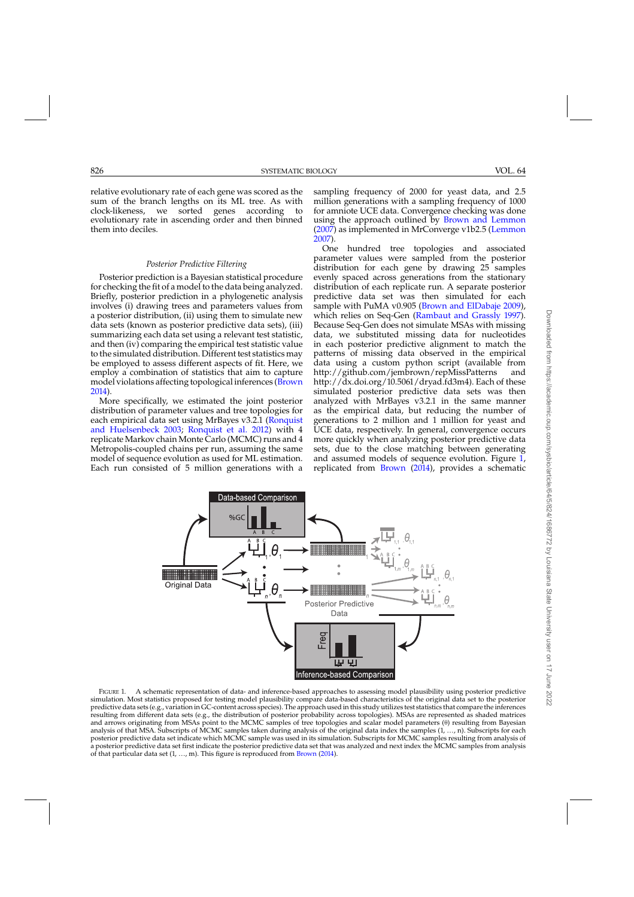relative evolutionary rate of each gene was scored as the sum of the branch lengths on its ML tree. As with clock-likeness, we sorted genes according to evolutionary rate in ascending order and then binned them into deciles.

### *Posterior Predictive Filtering*

Posterior prediction is a Bayesian statistical procedure for checking the fit of a model to the data being analyzed. Briefly, posterior prediction in a phylogenetic analysis involves (i) drawing trees and parameters values from a posterior distribution, (ii) using them to simulate new data sets (known as posterior predictive data sets), (iii) summarizing each data set using a relevant test statistic, and then (iv) comparing the empirical test statistic value to the simulated distribution. Different test statistics may be employed to assess different aspects of fit. Here, we employ a combination of statistics that aim to capture model violations affecting topological inferences [\(Brown](#page-13-0) [2014](#page-13-0)).

More specifically, we estimated the joint posterior distribution of parameter values and tree topologies for each empirical da[ta set using MrBayes v3.2.1 \(](#page-13-0)Ronquist and Huelsenbeck [2003;](#page-13-0) [Ronquist et al. 2012](#page-13-0)) with 4 replicate Markov chain Monte Carlo (MCMC) runs and 4 Metropolis-coupled chains per run, assuming the same model of sequence evolution as used for ML estimation. Each run consisted of 5 million generations with a sampling frequency of 2000 for yeast data, and 2.5 million generations with a sampling frequency of 1000 for amniote UCE data. Convergence checking was done using the approach outlined by [Brown and Lemmon](#page-13-0) [\(2007\)](#page-13-0) as implemented in MrConverge v1b2.5 [\(Lemmon](#page-13-0) [2007](#page-13-0)).

One hundred tree topologies and associated parameter values were sampled from the posterior distribution for each gene by drawing 25 samples evenly spaced across generations from the stationary distribution of each replicate run. A separate posterior predictive data set was then simulated for each sample with PuMA v0.905 [\(Brown and ElDabaje 2009\)](#page-13-0), which relies on Seq-Gen [\(Rambaut and Grassly 1997\)](#page-13-0). Because Seq-Gen does not simulate MSAs with missing data, we substituted missing data for nucleotides in each posterior predictive alignment to match the patterns of missing data observed in the empirical data using a custom python script (available from <http://github.com/jembrown/repMissPatterns> and [http://dx.doi.org/10.5061/dryad.fd3m4\)](http://dx.doi.org/10.5061/dryad.fd3m4). Each of these simulated posterior predictive data sets was then analyzed with MrBayes v3.2.1 in the same manner as the empirical data, but reducing the number of generations to 2 million and 1 million for yeast and UCE data, respectively. In general, convergence occurs more quickly when analyzing posterior predictive data sets, due to the close matching between generating and assumed models of sequence evolution. Figure 1, replicated from [Brown](#page-13-0) [\(2014](#page-13-0)), provides a schematic



FIGURE 1. A schematic representation of data- and inference-based approaches to assessing model plausibility using posterior predictive simulation. Most statistics proposed for testing model plausibility compare data-based characteristics of the original data set to the posterior predictive data sets (e.g., variation in GC-content across species). The approach used in this study utilizes test statistics that compare the inferences resulting from different data sets (e.g., the distribution of posterior probability across topologies). MSAs are represented as shaded matrices and arrows originating from MSAs point to the MCMC samples of tree topologies and scalar model parameters (0) resulting from Bayesian analysis of that MSA. Subscripts of MCMC samples taken during analysis of the original data index the samples (1, …, n). Subscripts for each posterior predictive data set indicate which MCMC sample was used in its simulation. Subscripts for MCMC samples resulting from analysis of a posterior predictive data set first indicate the posterior predictive data set that was analyzed and next index the MCMC samples from analysis of that particular data set  $(1, ..., m)$ . This figure is reproduced from [Brown](#page-13-0) [\(2014](#page-13-0)).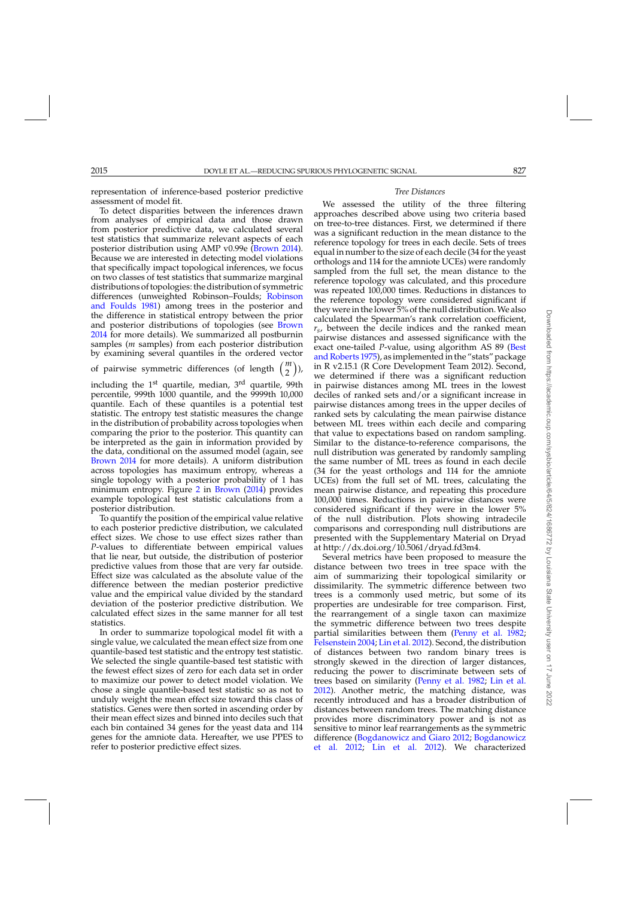representation of inference-based posterior predictive assessment of model fit.

To detect disparities between the inferences drawn from analyses of empirical data and those drawn from posterior predictive data, we calculated several test statistics that summarize relevant aspects of each posterior distribution using AMP v0.99e [\(Brown 2014\)](#page-13-0). Because we are interested in detecting model violations that specifically impact topological inferences, we focus on two classes of test statistics that summarize marginal distributions of topologies: the distribution of symmetric differences [\(unweighted Robinson–Foulds;](#page-13-0) Robinson and Foulds [1981\)](#page-13-0) among trees in the posterior and the difference in statistical entropy between the prior and posterior distributions of topologies (see [Brown](#page-13-0) [2014](#page-13-0) for more details). We summarized all postburnin samples (*m* samples) from each posterior distribution by examining several quantiles in the ordered vector

of pairwise symmetric differences (of length  $\binom{m}{2}$ 2 ),

including the  $1<sup>st</sup>$  quartile, median,  $3<sup>rd</sup>$  quartile, 99th percentile, 999th 1000 quantile, and the 9999th 10,000 quantile. Each of these quantiles is a potential test statistic. The entropy test statistic measures the change in the distribution of probability across topologies when comparing the prior to the posterior. This quantity can be interpreted as the gain in information provided by the data, conditional on the assumed model (again, see [Brown 2014](#page-13-0) for more details). A uniform distribution across topologies has maximum entropy, whereas a single topology with a posterior probability of 1 has minimum entropy. Figure [2](#page-6-0) in [Brown](#page-13-0) [\(2014\)](#page-13-0) provides example topological test statistic calculations from a posterior distribution.

To quantify the position of the empirical value relative to each posterior predictive distribution, we calculated effect sizes. We chose to use effect sizes rather than *P*-values to differentiate between empirical values that lie near, but outside, the distribution of posterior predictive values from those that are very far outside. Effect size was calculated as the absolute value of the difference between the median posterior predictive value and the empirical value divided by the standard deviation of the posterior predictive distribution. We calculated effect sizes in the same manner for all test statistics.

In order to summarize topological model fit with a single value, we calculated the mean effect size from one quantile-based test statistic and the entropy test statistic. We selected the single quantile-based test statistic with the fewest effect sizes of zero for each data set in order to maximize our power to detect model violation. We chose a single quantile-based test statistic so as not to unduly weight the mean effect size toward this class of statistics. Genes were then sorted in ascending order by their mean effect sizes and binned into deciles such that each bin contained 34 genes for the yeast data and 114 genes for the amniote data. Hereafter, we use PPES to refer to posterior predictive effect sizes.

#### *Tree Distances*

We assessed the utility of the three filtering approaches described above using two criteria based on tree-to-tree distances. First, we determined if there was a significant reduction in the mean distance to the reference topology for trees in each decile. Sets of trees equal in number to the size of each decile (34 for the yeast orthologs and 114 for the amniote UCEs) were randomly sampled from the full set, the mean distance to the reference topology was calculated, and this procedure was repeated 100,000 times. Reductions in distances to the reference topology were considered significant if they were in the lower 5% of the null distribution.We also calculated the Spearman's rank correlation coefficient, *rs*, between the decile indices and the ranked mean pairwise distances and assessed significance with the exact one-tailed *P*[-value,](#page-12-0) [using](#page-12-0) [algorithm](#page-12-0) [AS](#page-12-0) [89](#page-12-0) [\(](#page-12-0)Best and Roberts [1975\)](#page-12-0), as implemented in the "stats" package in R v2.15.1 (R Core Development Team 2012). Second, we determined if there was a significant reduction in pairwise distances among ML trees in the lowest deciles of ranked sets and/or a significant increase in pairwise distances among trees in the upper deciles of ranked sets by calculating the mean pairwise distance between ML trees within each decile and comparing that value to expectations based on random sampling. Similar to the distance-to-reference comparisons, the null distribution was generated by randomly sampling the same number of ML trees as found in each decile (34 for the yeast orthologs and 114 for the amniote UCEs) from the full set of ML trees, calculating the mean pairwise distance, and repeating this procedure 100,000 times. Reductions in pairwise distances were considered significant if they were in the lower 5% of the null distribution. Plots showing intradecile comparisons and corresponding null distributions are presented with the Supplementary Material on Dryad at [http://dx.doi.org/10.5061/dryad.fd3m4.](http://dx.doi.org/10.5061/dryad.fd3m4)

Several metrics have been proposed to measure the distance between two trees in tree space with the aim of summarizing their topological similarity or dissimilarity. The symmetric difference between two trees is a commonly used metric, but some of its properties are undesirable for tree comparison. First, the rearrangement of a single taxon can maximize the symmetric difference between two trees despite partial similarities between them [\(Penny et al. 1982](#page-13-0); [Felsenstein 2004](#page-13-0); [Lin et al. 2012](#page-13-0)). Second, the distribution of distances between two random binary trees is strongly skewed in the direction of larger distances, reducing the power to discriminate between sets of trees based on similarity [\(Penny et al. 1982](#page-13-0); [Lin et al.](#page-13-0) [2012](#page-13-0)). Another metric, the matching distance, was recently introduced and has a broader distribution of distances between random trees. The matching distance provides more discriminatory power and is not as sensitive to minor leaf rearrangements as the symmetric differ[ence](#page-13-0) [\(Bogdanowicz and Giaro 2012](#page-12-0)[;](#page-13-0) Bogdanowicz et al. [2012;](#page-13-0) [Lin et al. 2012\)](#page-13-0). We characterized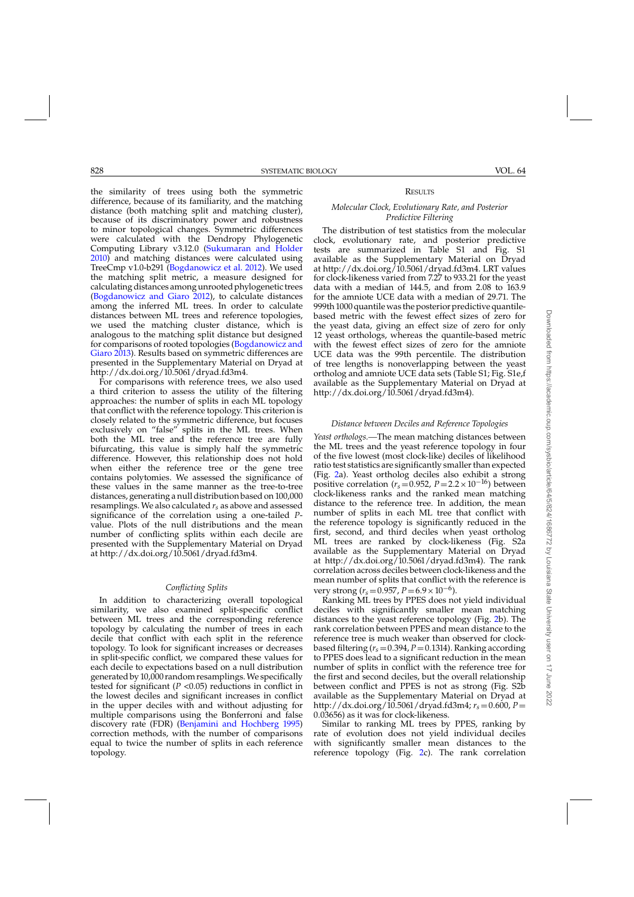the similarity of trees using both the symmetric difference, because of its familiarity, and the matching distance (both matching split and matching cluster), because of its discriminatory power and robustness to minor topological changes. Symmetric differences were calculated with the Dendropy Phylogenetic Computing Library v3.12.0 [\(Sukumaran and Holder](#page-14-0) [2010](#page-14-0)) and matching distances were calculated using TreeCmp v1.0-b291 [\(Bogdanowicz et al. 2012](#page-13-0)). We used the matching split metric, a measure designed for calculating distances among unrooted phylogenetic trees [\(Bogdanowicz and Giaro 2012\)](#page-12-0), to calculate distances among the inferred ML trees. In order to calculate distances between ML trees and reference topologies, we used the matching cluster distance, which is analogous to the matching split distance but designed for co[mparisons](#page-13-0) [of](#page-13-0) [rooted](#page-13-0) [topologies](#page-13-0) [\(](#page-13-0)Bogdanowicz and Giaro [2013\)](#page-13-0). Results based on symmetric differences are presented in the Supplementary Material on Dryad at [http://dx.doi.org/10.5061/dryad.fd3m4.](http://dx.doi.org/10.5061/dryad.fd3m4)

For comparisons with reference trees, we also used a third criterion to assess the utility of the filtering approaches: the number of splits in each ML topology that conflict with the reference topology. This criterion is closely related to the symmetric difference, but focuses exclusively on "false" splits in the ML trees. When both the ML tree and the reference tree are fully bifurcating, this value is simply half the symmetric difference. However, this relationship does not hold when either the reference tree or the gene tree contains polytomies. We assessed the significance of these values in the same manner as the tree-to-tree distances, generating a null distribution based on 100,000 resamplings. We also calculated *rs* as above and assessed significance of the correlation using a one-tailed *P*value. Plots of the null distributions and the mean number of conflicting splits within each decile are presented with the Supplementary Material on Dryad at [http://dx.doi.org/10.5061/dryad.fd3m4.](http://dx.doi.org/10.5061/dryad.fd3m4)

#### *Conflicting Splits*

In addition to characterizing overall topological similarity, we also examined split-specific conflict between ML trees and the corresponding reference topology by calculating the number of trees in each decile that conflict with each split in the reference topology. To look for significant increases or decreases in split-specific conflict, we compared these values for each decile to expectations based on a null distribution generated by 10,000 random resamplings.We specifically tested for significant (*P* <0.05) reductions in conflict in the lowest deciles and significant increases in conflict in the upper deciles with and without adjusting for multiple comparisons using the Bonferroni and false discovery rate (FDR) [\(Benjamini and Hochberg 1995\)](#page-12-0) correction methods, with the number of comparisons equal to twice the number of splits in each reference topology.

#### **RESULTS**

# *Molecular Clock, Evolutionary Rate, and Posterior Predictive Filtering*

The distribution of test statistics from the molecular clock, evolutionary rate, and posterior predictive tests are summarized in Table S1 and Fig. S1 available as the Supplementary Material on Dryad at [http://dx.doi.org/10.5061/dryad.fd3m4.](http://dx.doi.org/10.5061/dryad.fd3m4) LRT values for clock-likeness varied from 7.27 to 933.21 for the yeast data with a median of 144.5, and from 2.08 to 163.9 for the amniote UCE data with a median of 29.71. The 999th 1000 quantile was the posterior predictive quantilebased metric with the fewest effect sizes of zero for the yeast data, giving an effect size of zero for only 12 yeast orthologs, whereas the quantile-based metric with the fewest effect sizes of zero for the amniote UCE data was the 99th percentile. The distribution of tree lengths is nonoverlapping between the yeast ortholog and amniote UCE data sets (Table S1; Fig. S1e,f available as the Supplementary Material on Dryad at [http://dx.doi.org/10.5061/dryad.fd3m4\)](http://dx.doi.org/10.5061/dryad.fd3m4).

## *Distance between Deciles and Reference Topologies*

*Yeast orthologs.—*The mean matching distances between the ML trees and the yeast reference topology in four of the five lowest (most clock-like) deciles of likelihood ratio test statistics are significantly smaller than expected (Fig. [2a](#page-6-0)). Yeast ortholog deciles also exhibit a strong positive correlation ( $r_s = 0.952$ ,  $P = 2.2 \times 10^{-16}$ ) between clock-likeness ranks and the ranked mean matching distance to the reference tree. In addition, the mean number of splits in each ML tree that conflict with the reference topology is significantly reduced in the first, second, and third deciles when yeast ortholog ML trees are ranked by clock-likeness (Fig. S2a available as the Supplementary Material on Dryad at [http://dx.doi.org/10.5061/dryad.fd3m4\)](http://dx.doi.org/10.5061/dryad.fd3m4). The rank correlation across deciles between clock-likeness and the mean number of splits that conflict with the reference is very strong ( $r_s = 0.957$ ,  $P = 6.9 \times 10^{-6}$ ).

Ranking ML trees by PPES does not yield individual deciles with significantly smaller mean matching distances to the yeast reference topology (Fig. [2b](#page-6-0)). The rank correlation between PPES and mean distance to the reference tree is much weaker than observed for clockbased filtering  $(r_s = 0.394, P = 0.1314)$ . Ranking according to PPES does lead to a significant reduction in the mean number of splits in conflict with the reference tree for the first and second deciles, but the overall relationship between conflict and PPES is not as strong (Fig. S2b available as the Supplementary Material on Dryad at [http://dx.doi.org/10.5061/dryad.fd3m4;](http://dx.doi.org/10.5061/dryad.fd3m4)  $r_s = 0.600$ ,  $P=$ 0.03656) as it was for clock-likeness.

Similar to ranking ML trees by PPES, ranking by rate of evolution does not yield individual deciles with significantly smaller mean distances to the reference topology (Fig. [2c](#page-6-0)). The rank correlation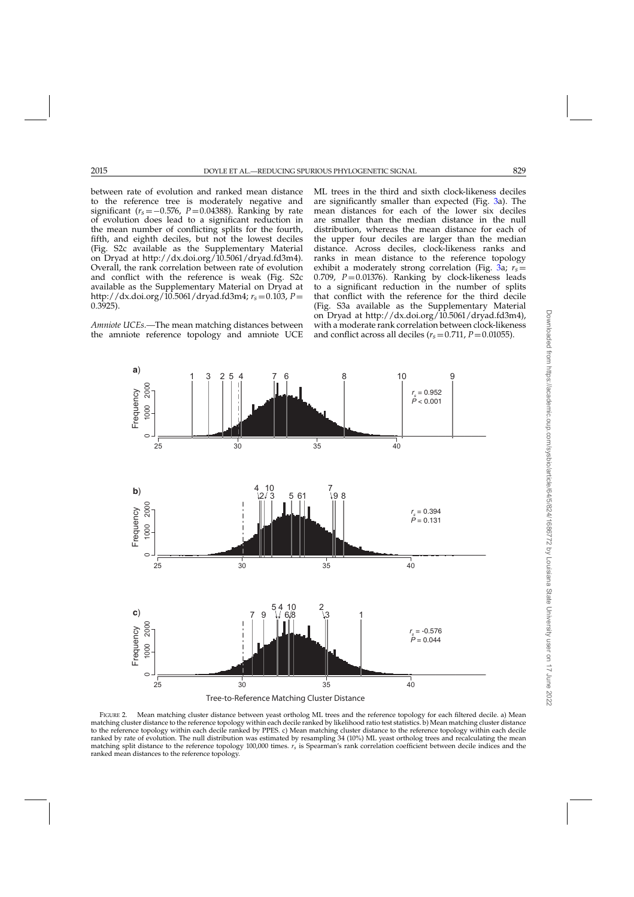<span id="page-6-0"></span>between rate of evolution and ranked mean distance to the reference tree is moderately negative and significant (*rs* =−0.576, *P*=0.04388). Ranking by rate of evolution does lead to a significant reduction in the mean number of conflicting splits for the fourth, fifth, and eighth deciles, but not the lowest deciles (Fig. S2c available as the Supplementary Material on Dryad at [http://dx.doi.org/10.5061/dryad.fd3m4\)](http://dx.doi.org/10.5061/dryad.fd3m4). Overall, the rank correlation between rate of evolution and conflict with the reference is weak (Fig. S2c available as the Supplementary Material on Dryad at [http://dx.doi.org/10.5061/dryad.fd3m4;](http://dx.doi.org/10.5061/dryad.fd3m4) *rs* =0.103, *P*= 0.3925).

*Amniote UCEs.—*The mean matching distances between the amniote reference topology and amniote UCE ML trees in the third and sixth clock-likeness deciles are significantly smaller than expected (Fig. [3a](#page-7-0)). The mean distances for each of the lower six deciles are smaller than the median distance in the null distribution, whereas the mean distance for each of the upper four deciles are larger than the median distance. Across deciles, clock-likeness ranks and ranks in mean distance to the reference topology exhibit a moderately strong correlation (Fig.  $3a$ ;  $r_s =$ 0.709,  $P = 0.01376$ . Ranking by clock-likeness leads to a significant reduction in the number of splits that conflict with the reference for the third decile (Fig. S3a available as the Supplementary Material on Dryad at [http://dx.doi.org/10.5061/dryad.fd3m4\)](http://dx.doi.org/10.5061/dryad.fd3m4), with a moderate rank correlation between clock-likeness and conflict across all deciles  $(r_s = 0.711, P = 0.01055)$ .



FIGURE 2. Mean matching cluster distance between yeast ortholog ML trees and the reference topology for each filtered decile. a) Mean matching cluster distance to the reference topology within each decile ranked by likelihood ratio test statistics. b) Mean matching cluster distance to the reference topology within each decile ranked by PPES. c) Mean matching cluster distance to the reference topology within each decile ranked by rate of evolution. The null distribution was estimated by resampling 34 (10%) ML yeast ortholog trees and recalculating the mean matching split distance to the reference topology 100,000 times. *rs* is Spearman's rank correlation coefficient between decile indices and the ranked mean distances to the reference topology.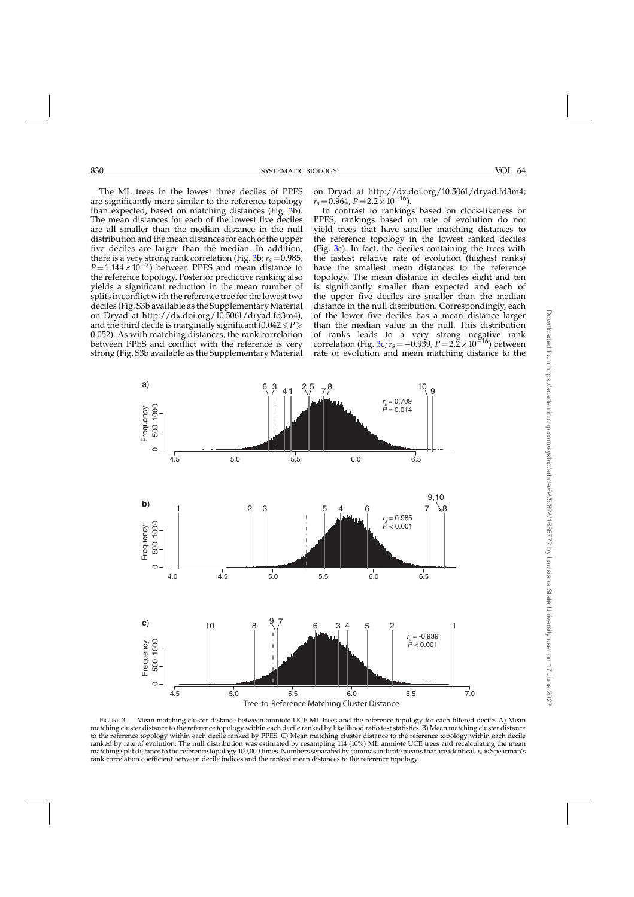<span id="page-7-0"></span>The ML trees in the lowest three deciles of PPES are significantly more similar to the reference topology than expected, based on matching distances (Fig. 3b). The mean distances for each of the lowest five deciles are all smaller than the median distance in the null distribution and the mean distances for each of the upper five deciles are larger than the median. In addition, there is a very strong rank correlation (Fig. 3b;  $r_s = 0.985$ ,  $P=1.144\times10^{-7}$ ) between PPES and mean distance to the reference topology. Posterior predictive ranking also yields a significant reduction in the mean number of splits in conflict with the reference tree for the lowest two deciles (Fig. S3b available as the Supplementary Material on Dryad at [http://dx.doi.org/10.5061/dryad.fd3m4\)](http://dx.doi.org/10.5061/dryad.fd3m4), and the third decile is marginally significant ( $0.042\!\leqslant\!P\!\geqslant$ 0.052). As with matching distances, the rank correlation between PPES and conflict with the reference is very strong (Fig. S3b available as the Supplementary Material

on Dryad at [http://dx.doi.org/10.5061/dryad.fd3m4;](http://dx.doi.org/10.5061/dryad.fd3m4)  $r_s = 0.964$ ,  $P = 2.2 \times 10^{-16}$ ).

In contrast to rankings based on clock-likeness or PPES, rankings based on rate of evolution do not yield trees that have smaller matching distances to the reference topology in the lowest ranked deciles (Fig. 3c). In fact, the deciles containing the trees with the fastest relative rate of evolution (highest ranks) have the smallest mean distances to the reference topology. The mean distance in deciles eight and ten is significantly smaller than expected and each of the upper five deciles are smaller than the median distance in the null distribution. Correspondingly, each of the lower five deciles has a mean distance larger than the median value in the null. This distribution of ranks leads to a very strong negative rank correlation (Fig. 3c;  $r_s = -0.939$ ,  $P = 2.2 \times 10^{-16}$ ) between rate of evolution and mean matching distance to the



FIGURE 3. Mean matching cluster distance between amniote UCE ML trees and the reference topology for each filtered decile. A) Mean matching cluster distance to the reference topology within each decile ranked by likelihood ratio test statistics. B) Mean matching cluster distance to the reference topology within each decile ranked by PPES. C) Mean matching cluster distance to the reference topology within each decile ranked by rate of evolution. The null distribution was estimated by resampling 114 (10%) ML amniote UCE trees and recalculating the mean matching split distance to the reference topology 100,000 times. Numbers separated by commas indicate means that are identical.*rs* is Spearman's rank correlation coefficient between decile indices and the ranked mean distances to the reference topology.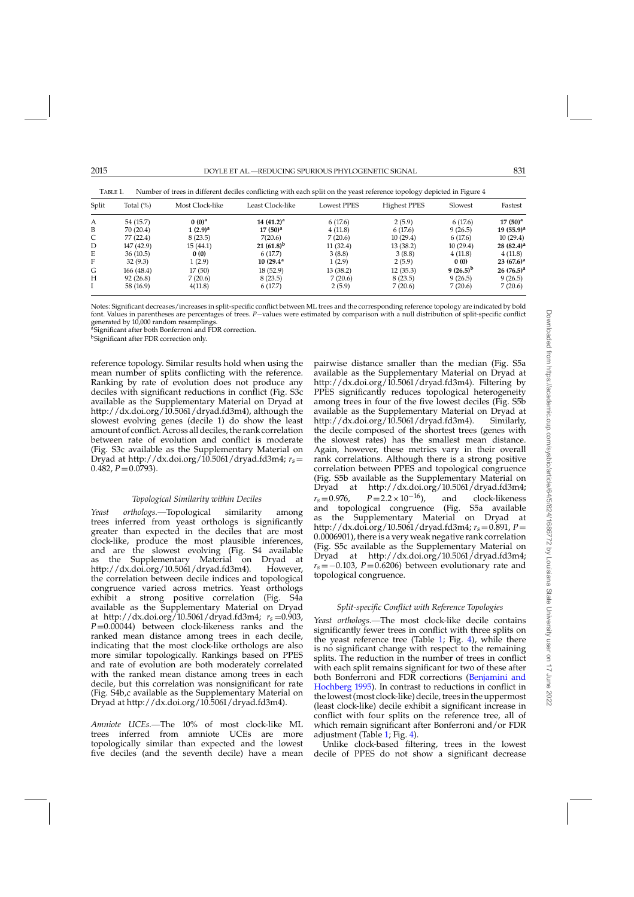| Split | Total $(\%)$ | Most Clock-like | Least Clock-like | <b>Lowest PPES</b> | <b>Highest PPES</b> | Slowest       | Fastest      |
|-------|--------------|-----------------|------------------|--------------------|---------------------|---------------|--------------|
| А     | 54 (15.7)    | $0(0)^a$        | $14(41.2)^a$     | 6(17.6)            | 2(5.9)              | 6(17.6)       | $17(50)^a$   |
| B     | 70(20.4)     | $1(2.9)^a$      | $17(50)^a$       | 4(11.8)            | 6(17.6)             | 9(26.5)       | $19(55.9)^a$ |
| C     | 77 (22.4)    | 8(23.5)         | 7(20.6)          | 7(20.6)            | 10(29.4)            | 6(17.6)       | 10(29.4)     |
| D     | 147 (42.9)   | 15 (44.1)       | $21(61.8)^{b}$   | 11(32.4)           | 13 (38.2)           | 10(29.4)      | $28(82.4)^a$ |
| E     | 36(10.5)     | 0(0)            | 6(17.7)          | 3(8.8)             | 3(8.8)              | 4(11.8)       | 4(11.8)      |
| F     | 32(9.3)      | 1(2.9)          | $10(29.4^a)$     | 1(2.9)             | 2(5.9)              | 0(0)          | $23(67.6)^a$ |
| G     | 166 (48.4)   | 17(50)          | 18(52.9)         | 13 (38.2)          | 12(35.3)            | $9(26.5)^{b}$ | $26(76.5)^a$ |
| Н     | 92(26.8)     | 7(20.6)         | 8(23.5)          | 7(20.6)            | 8(23.5)             | 9(26.5)       | 9(26.5)      |
|       | 58 (16.9)    | 4(11.8)         | 6(17.7)          | 2(5.9)             | 7(20.6)             | 7(20.6)       | 7(20.6)      |
|       |              |                 |                  |                    |                     |               |              |

<span id="page-8-0"></span>TABLE 1. Number of trees in different deciles conflicting with each split on the yeast reference topology depicted in Figure 4

Notes: Significant decreases/increases in split-specific conflict between ML trees and the corresponding reference topology are indicated by bold font. Values in parentheses are percentages of trees. *P*−values were estimated by comparison with a null distribution of split-specific conflict generated by 10,000 random resamplings.

<sup>a</sup>Significant after both Bonferroni and FDR correction.

<sup>b</sup>Significant after FDR correction only.

reference topology. Similar results hold when using the mean number of splits conflicting with the reference. Ranking by rate of evolution does not produce any deciles with significant reductions in conflict (Fig. S3c available as the Supplementary Material on Dryad at [http://dx.doi.org/10.5061/dryad.fd3m4\)](http://dx.doi.org/10.5061/dryad.fd3m4), although the slowest evolving genes (decile 1) do show the least amount of conflict. Across all deciles, the rank correlation between rate of evolution and conflict is moderate (Fig. S3c available as the Supplementary Material on Dryad at [http://dx.doi.org/10.5061/dryad.fd3m4;](http://dx.doi.org/10.5061/dryad.fd3m4) *rs* =  $0.482, P=0.0793$ .

#### *Topological Similarity within Deciles*

*Yeast orthologs.—*Topological similarity among trees inferred from yeast orthologs is significantly greater than expected in the deciles that are most clock-like, produce the most plausible inferences, and are the slowest evolving (Fig. S4 available as the Supplementary Material on Dryad at [http://dx.doi.org/10.5061/dryad.fd3m4\)](http://dx.doi.org/10.5061/dryad.fd3m4). However, the correlation between decile indices and topological congruence varied across metrics. Yeast orthologs exhibit a strong positive correlation (Fig. S4a available as the Supplementary Material on Dryad at [http://dx.doi.org/10.5061/dryad.fd3m4;](http://dx.doi.org/10.5061/dryad.fd3m4) *rs* =0.903, *P*=0.00044) between clock-likeness ranks and the ranked mean distance among trees in each decile, indicating that the most clock-like orthologs are also more similar topologically. Rankings based on PPES and rate of evolution are both moderately correlated with the ranked mean distance among trees in each decile, but this correlation was nonsignificant for rate (Fig. S4b,c available as the Supplementary Material on Dryad at [http://dx.doi.org/10.5061/dryad.fd3m4\)](http://dx.doi.org/10.5061/dryad.fd3m4).

*Amniote UCEs.—*The 10% of most clock-like ML trees inferred from amniote UCEs are more topologically similar than expected and the lowest five deciles (and the seventh decile) have a mean pairwise distance smaller than the median (Fig. S5a available as the Supplementary Material on Dryad at [http://dx.doi.org/10.5061/dryad.fd3m4\)](http://dx.doi.org/10.5061/dryad.fd3m4). Filtering by PPES significantly reduces topological heterogeneity among trees in four of the five lowest deciles (Fig. S5b available as the Supplementary Material on Dryad at<br>http://dx.doi.org/10.5061/dryad.fd3m4). Similarly, http://dx.doi.org/ $10.5061/dr$ yad.fd3m4). the decile composed of the shortest trees (genes with the slowest rates) has the smallest mean distance. Again, however, these metrics vary in their overall rank correlations. Although there is a strong positive correlation between PPES and topological congruence (Fig. S5b available as the Supplementary Material on Dryad at [http://dx.doi.org/10.5061/dryad.fd3m4;](http://dx.doi.org/10.5061/dryad.fd3m4)  $r_s = 0.976$ ,  $P = 2.2 \times 10^{-16}$ ), and clock-likeness and topological congruence (Fig. S5a available and topological congruence (Fig. as the Supplementary Material on Dryad at [http://dx.doi.org/10.5061/dryad.fd3m4;](http://dx.doi.org/10.5061/dryad.fd3m4) *rs* =0.891, *P*= 0.0006901), there is a very weak negative rank correlation (Fig. S5c available as the Supplementary Material on Dryad at [http://dx.doi.org/10.5061/dryad.fd3m4;](http://dx.doi.org/10.5061/dryad.fd3m4) *r<sub>s</sub>* = −0.103, *P* = 0.6206) between evolutionary rate and topological congruence.

### *Split-specific Conflict with Reference Topologies*

*Yeast orthologs.—*The most clock-like decile contains significantly fewer trees in conflict with three splits on the yeast reference tree (Table 1; Fig. [4\)](#page-9-0), while there is no significant change with respect to the remaining splits. The reduction in the number of trees in conflict with each split remains significant for two of these after both Bon[ferroni and FDR corrections \(](#page-12-0)Benjamini and Hochberg [1995](#page-12-0)). In contrast to reductions in conflict in the lowest (most clock-like) decile, trees in the uppermost (least clock-like) decile exhibit a significant increase in conflict with four splits on the reference tree, all of which remain significant after Bonferroni and/or FDR adjustment (Table 1; Fig. [4\)](#page-9-0).

Unlike clock-based filtering, trees in the lowest decile of PPES do not show a significant decrease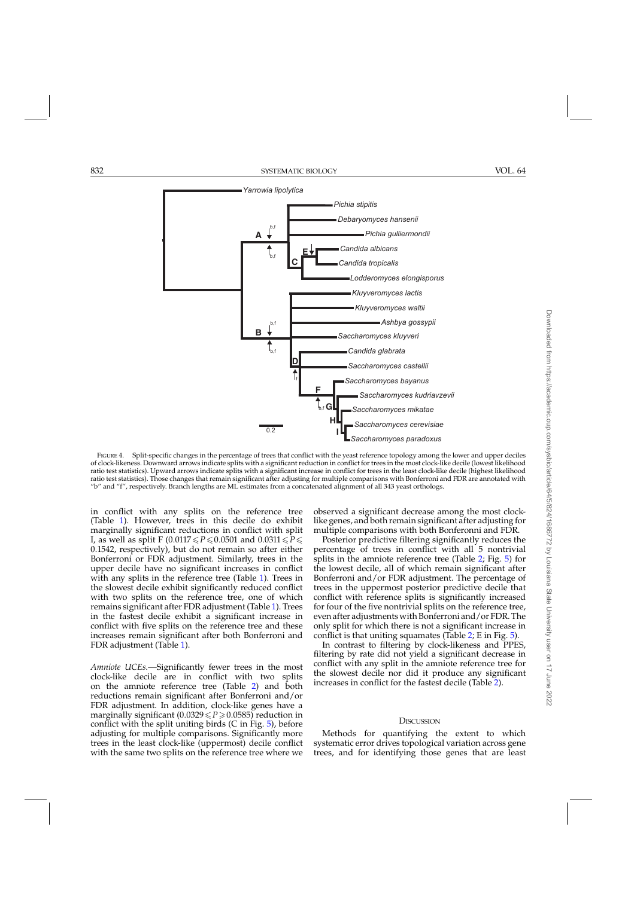<span id="page-9-0"></span>

FIGURE 4. Split-specific changes in the percentage of trees that conflict with the yeast reference topology among the lower and upper deciles of clock-likeness. Downward arrows indicate splits with a significant reduction in conflict for trees in the most clock-like decile (lowest likelihood ratio test statistics). Upward arrows indicate splits with a significant increase in conflict for trees in the least clock-like decile (highest likelihood ratio test statistics). Those changes that remain significant after adjusting for multiple comparisons with Bonferroni and FDR are annotated with "b" and "f", respectively. Branch lengths are ML estimates from a concatenated alignment of all 343 yeast orthologs.

in conflict with any splits on the reference tree (Table [1\)](#page-8-0). However, trees in this decile do exhibit marginally significant reductions in conflict with split I, as well as split F (0.0117 $\leqslant$  P $\leqslant$  0.0501 and 0.0311 $\leqslant$  P $\leqslant$ 0.1542, respectively), but do not remain so after either Bonferroni or FDR adjustment. Similarly, trees in the upper decile have no significant increases in conflict with any splits in the reference tree (Table [1\)](#page-8-0). Trees in the slowest decile exhibit significantly reduced conflict with two splits on the reference tree, one of which remains significant after FDR adjustment (Table [1\)](#page-8-0). Trees in the fastest decile exhibit a significant increase in conflict with five splits on the reference tree and these increases remain significant after both Bonferroni and FDR adjustment (Table [1\)](#page-8-0).

*Amniote UCEs.—*Significantly fewer trees in the most clock-like decile are in conflict with two splits on the amniote reference tree (Table [2\)](#page-10-0) and both reductions remain significant after Bonferroni and/or FDR adjustment. In addition, clock-like genes have a marginally significant (0.0329≤*P*≥0.0585) reduction in conflict with the split uniting birds  $(C$  in Fig.  $5$ ), before adjusting for multiple comparisons. Significantly more trees in the least clock-like (uppermost) decile conflict with the same two splits on the reference tree where we observed a significant decrease among the most clocklike genes, and both remain significant after adjusting for multiple comparisons with both Bonferonni and FDR.

Posterior predictive filtering significantly reduces the percentage of trees in conflict with all 5 nontrivial splits in the amniote reference tree (Table [2;](#page-10-0) Fig. [5\)](#page-10-0) for the lowest decile, all of which remain significant after Bonferroni and/or FDR adjustment. The percentage of trees in the uppermost posterior predictive decile that conflict with reference splits is significantly increased for four of the five nontrivial splits on the reference tree, even after adjustments with Bonferroni and/or FDR. The only split for which there is not a significant increase in conflict is that uniting squamates (Table [2;](#page-10-0) E in Fig. [5\)](#page-10-0).

In contrast to filtering by clock-likeness and PPES, filtering by rate did not yield a significant decrease in conflict with any split in the amniote reference tree for the slowest decile nor did it produce any significant increases in conflict for the fastest decile (Table [2\)](#page-10-0).

#### **DISCUSSION**

Methods for quantifying the extent to which systematic error drives topological variation across gene trees, and for identifying those genes that are least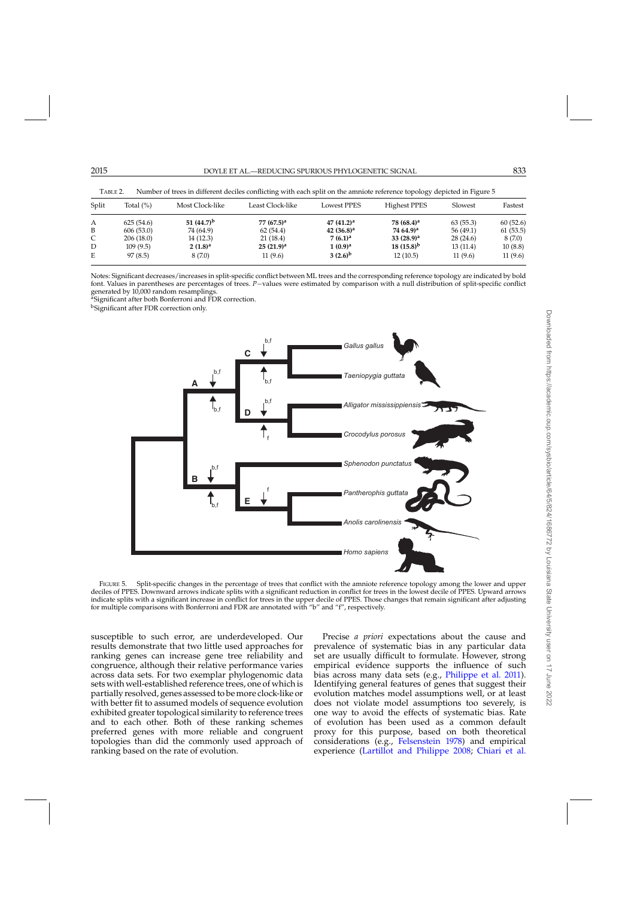|       | Total $(\%)$ | Most Clock-like |                  |                       | ັບ<br>$\cdot$       |          |          |
|-------|--------------|-----------------|------------------|-----------------------|---------------------|----------|----------|
| Split |              |                 | Least Clock-like | <b>Lowest PPES</b>    | <b>Highest PPES</b> | Slowest  | Fastest  |
| A     | 625(54.6)    | 51 $(44.7)^{b}$ | $77(67.5)^a$     | $47(41.2)^a$          | $78(68.4)^a$        | 63(55.3) | 60(52.6) |
| B     | 606(53.0)    | 74 (64.9)       | 62(54.4)         | $42(36.8)^a$          | $74.64.9)^a$        | 56(49.1) | 61(53.5) |
| C     | 206(18.0)    | 14(12.3)        | 21(18.4)         | $7(6.1)^a$            | 33 $(28.9)^a$       | 28(24.6) | 8(7.0)   |
| D     | 109(9.5)     | $2(1.8)^a$      | $25(21.9)^a$     | $1(0.9)$ <sup>a</sup> | $18(15.8)^{b}$      | 13(11.4) | 10(8.8)  |
| E     | 97(8.5)      | 8(7.0)          | 11(9.6)          | $3(2.6)^b$            | 12(10.5)            | 11(9.6)  | 11(9.6)  |
|       |              |                 |                  |                       |                     |          |          |

<span id="page-10-0"></span>TABLE 2. Number of trees in different deciles conflicting with each split on the amniote reference topology depicted in Figure 5

Notes: Significant decreases/increases in split-specific conflict between ML trees and the corresponding reference topology are indicated by bold font. Values in parentheses are percentages of trees. *P*−values were estimated by comparison with a null distribution of split-specific conflict

generated by 10,000 random resamplings. aSignificant after both Bonferroni and FDR correction.

bSignificant after FDR correction only.



FIGURE 5. Split-specific changes in the percentage of trees that conflict with the amniote reference topology among the lower and upper deciles of PPES. Downward arrows indicate splits with a significant reduction in conflict for trees in the lowest decile of PPES. Upward arrows indicate splits with a significant increase in conflict for trees in the upper decile of PPES. Those changes that remain significant after adjusting for multiple comparisons with Bonferroni and FDR are annotated with "b" and "f", respectively.

susceptible to such error, are underdeveloped. Our results demonstrate that two little used approaches for ranking genes can increase gene tree reliability and congruence, although their relative performance varies across data sets. For two exemplar phylogenomic data sets with well-established reference trees, one of which is partially resolved, genes assessed to be more clock-like or with better fit to assumed models of sequence evolution exhibited greater topological similarity to reference trees and to each other. Both of these ranking schemes preferred genes with more reliable and congruent topologies than did the commonly used approach of ranking based on the rate of evolution.

Precise *a priori* expectations about the cause and prevalence of systematic bias in any particular data set are usually difficult to formulate. However, strong empirical evidence supports the influence of such bias across many data sets (e.g., [Philippe et al. 2011](#page-13-0)). Identifying general features of genes that suggest their evolution matches model assumptions well, or at least does not violate model assumptions too severely, is one way to avoid the effects of systematic bias. Rate of evolution has been used as a common default proxy for this purpose, based on both theoretical considerations (e.g., [Felsenstein 1978](#page-13-0)) and empirical experience [\(Lartillot and Philippe 2008](#page-13-0); [Chiari et al.](#page-13-0)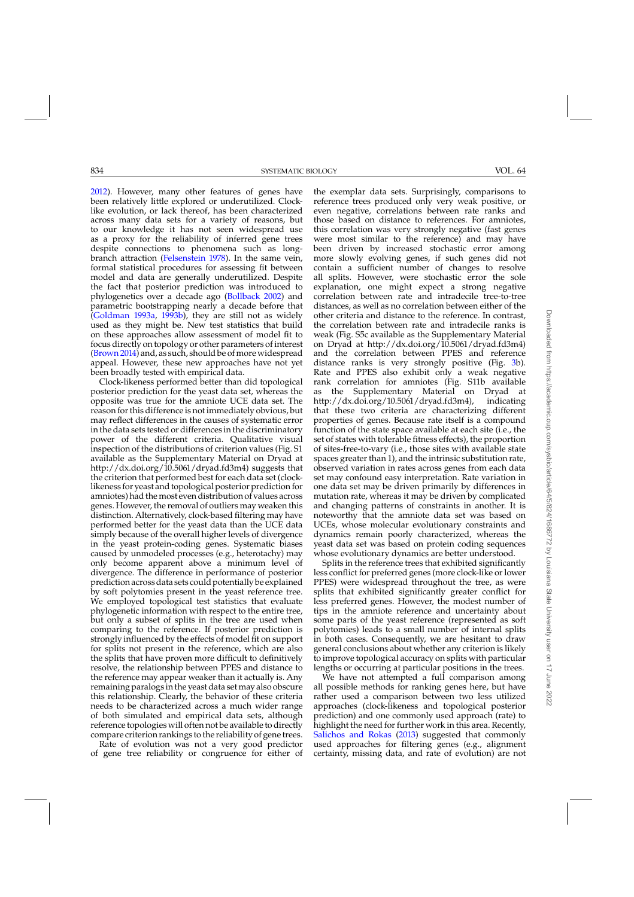[2012\)](#page-13-0). However, many other features of genes have been relatively little explored or underutilized. Clocklike evolution, or lack thereof, has been characterized across many data sets for a variety of reasons, but to our knowledge it has not seen widespread use as a proxy for the reliability of inferred gene trees despite connections to phenomena such as longbranch attraction [\(Felsenstein 1978](#page-13-0)). In the same vein, formal statistical procedures for assessing fit between model and data are generally underutilized. Despite the fact that posterior prediction was introduced to phylogenetics over a decade ago [\(Bollback 2002\)](#page-13-0) and parametric bootstrapping nearly a decade before that [\(Goldman 1993a,](#page-13-0) [1993b\)](#page-13-0), they are still not as widely used as they might be. New test statistics that build on these approaches allow assessment of model fit to focus directly on topology or other parameters of interest [\(Brown 2014](#page-13-0)) and, as such, should be of more widespread appeal. However, these new approaches have not yet been broadly tested with empirical data.

Clock-likeness performed better than did topological posterior prediction for the yeast data set, whereas the opposite was true for the amniote UCE data set. The reason for this difference is not immediately obvious, but may reflect differences in the causes of systematic error in the data sets tested or differences in the discriminatory power of the different criteria. Qualitative visual inspection of the distributions of criterion values (Fig. S1 available as the Supplementary Material on Dryad at [http://dx.doi.org/10.5061/dryad.fd3m4\)](http://dx.doi.org/10.5061/dryad.fd3m4) suggests that the criterion that performed best for each data set (clocklikeness for yeast and topological posterior prediction for amniotes) had themost even distribution of values across genes. However, the removal of outliers may weaken this distinction. Alternatively, clock-based filtering may have performed better for the yeast data than the UCE data simply because of the overall higher levels of divergence in the yeast protein-coding genes. Systematic biases caused by unmodeled processes (e.g., heterotachy) may only become apparent above a minimum level of divergence. The difference in performance of posterior prediction across data sets could potentially be explained by soft polytomies present in the yeast reference tree. We employed topological test statistics that evaluate phylogenetic information with respect to the entire tree, but only a subset of splits in the tree are used when comparing to the reference. If posterior prediction is strongly influenced by the effects of model fit on support for splits not present in the reference, which are also the splits that have proven more difficult to definitively resolve, the relationship between PPES and distance to the reference may appear weaker than it actually is. Any remaining paralogs in the yeast data set may also obscure this relationship. Clearly, the behavior of these criteria needs to be characterized across a much wider range of both simulated and empirical data sets, although reference topologies will often not be available to directly compare criterion rankings to the reliability of gene trees.

Rate of evolution was not a very good predictor of gene tree reliability or congruence for either of the exemplar data sets. Surprisingly, comparisons to reference trees produced only very weak positive, or even negative, correlations between rate ranks and those based on distance to references. For amniotes, this correlation was very strongly negative (fast genes were most similar to the reference) and may have been driven by increased stochastic error among more slowly evolving genes, if such genes did not contain a sufficient number of changes to resolve all splits. However, were stochastic error the sole explanation, one might expect a strong negative correlation between rate and intradecile tree-to-tree distances, as well as no correlation between either of the other criteria and distance to the reference. In contrast, the correlation between rate and intradecile ranks is weak (Fig. S5c available as the Supplementary Material on Dryad at [http://dx.doi.org/10.5061/dryad.fd3m4\)](http://dx.doi.org/10.5061/dryad.fd3m4) and the correlation between PPES and reference distance ranks is very strongly positive (Fig. [3b](#page-7-0)). Rate and PPES also exhibit only a weak negative rank correlation for amniotes (Fig. S11b available as the Supplementary Material on Dryad at [http://dx.doi.org/10.5061/dryad.fd3m4\)](http://dx.doi.org/10.5061/dryad.fd3m4), indicating that these two criteria are characterizing different properties of genes. Because rate itself is a compound function of the state space available at each site (i.e., the set of states with tolerable fitness effects), the proportion of sites-free-to-vary (i.e., those sites with available state spaces greater than 1), and the intrinsic substitution rate, observed variation in rates across genes from each data set may confound easy interpretation. Rate variation in one data set may be driven primarily by differences in mutation rate, whereas it may be driven by complicated and changing patterns of constraints in another. It is noteworthy that the amniote data set was based on UCEs, whose molecular evolutionary constraints and dynamics remain poorly characterized, whereas the yeast data set was based on protein coding sequences whose evolutionary dynamics are better understood.

Splits in the reference trees that exhibited significantly less conflict for preferred genes (more clock-like or lower PPES) were widespread throughout the tree, as were splits that exhibited significantly greater conflict for less preferred genes. However, the modest number of tips in the amniote reference and uncertainty about some parts of the yeast reference (represented as soft polytomies) leads to a small number of internal splits in both cases. Consequently, we are hesitant to draw general conclusions about whether any criterion is likely to improve topological accuracy on splits with particular lengths or occurring at particular positions in the trees.

We have not attempted a full comparison among all possible methods for ranking genes here, but have rather used a comparison between two less utilized approaches (clock-likeness and topological posterior prediction) and one commonly used approach (rate) to highlight the need for further work in this area. Recently, [Salichos and Rokas](#page-13-0) [\(2013\)](#page-13-0) suggested that commonly used approaches for filtering genes (e.g., alignment certainty, missing data, and rate of evolution) are not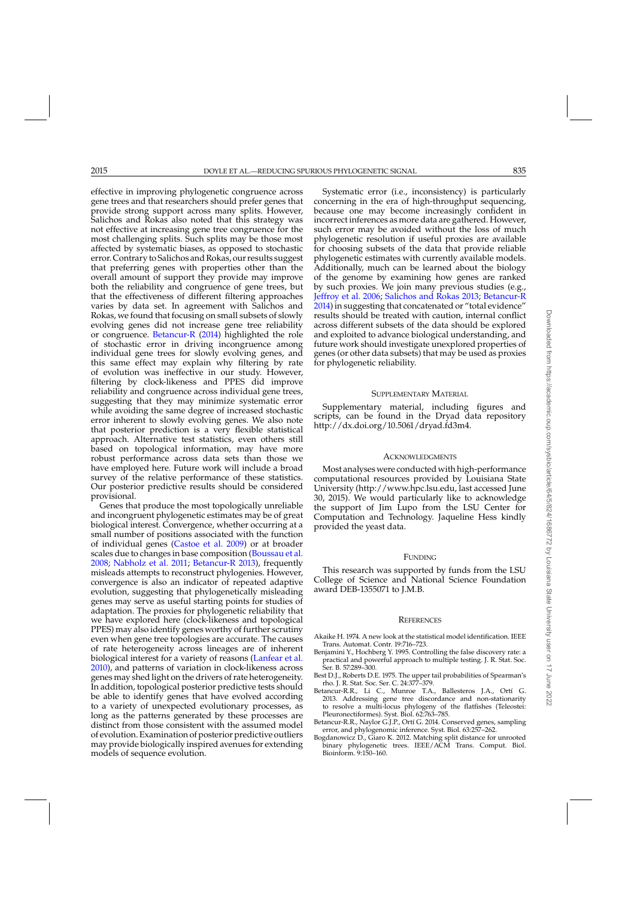<span id="page-12-0"></span>effective in improving phylogenetic congruence across gene trees and that researchers should prefer genes that provide strong support across many splits. However, Salichos and Rokas also noted that this strategy was not effective at increasing gene tree congruence for the most challenging splits. Such splits may be those most affected by systematic biases, as opposed to stochastic error. Contrary to Salichos and Rokas, our results suggest that preferring genes with properties other than the overall amount of support they provide may improve both the reliability and congruence of gene trees, but that the effectiveness of different filtering approaches varies by data set. In agreement with Salichos and Rokas, we found that focusing on small subsets of slowly evolving genes did not increase gene tree reliability or congruence. Betancur-R (2014) highlighted the role of stochastic error in driving incongruence among individual gene trees for slowly evolving genes, and this same effect may explain why filtering by rate of evolution was ineffective in our study. However, filtering by clock-likeness and PPES did improve reliability and congruence across individual gene trees, suggesting that they may minimize systematic error while avoiding the same degree of increased stochastic error inherent to slowly evolving genes. We also note that posterior prediction is a very flexible statistical approach. Alternative test statistics, even others still based on topological information, may have more robust performance across data sets than those we have employed here. Future work will include a broad survey of the relative performance of these statistics. Our posterior predictive results should be considered provisional.

Genes that produce the most topologically unreliable and incongruent phylogenetic estimates may be of great biological interest. Convergence, whether occurring at a small number of positions associated with the function of individual genes [\(Castoe et al. 2009\)](#page-13-0) or at broader scales due to changes in base composition [\(Boussau et al.](#page-13-0) [2008;](#page-13-0) [Nabholz et al. 2011](#page-13-0); Betancur-R 2013), frequently misleads attempts to reconstruct phylogenies. However, convergence is also an indicator of repeated adaptive evolution, suggesting that phylogenetically misleading genes may serve as useful starting points for studies of adaptation. The proxies for phylogenetic reliability that we have explored here (clock-likeness and topological PPES) may also identify genes worthy of further scrutiny even when gene tree topologies are accurate. The causes of rate heterogeneity across lineages are of inherent biological interest for a variety of reasons [\(Lanfear et al.](#page-13-0) [2010\)](#page-13-0), and patterns of variation in clock-likeness across genes may shed light on the drivers of rate heterogeneity. In addition, topological posterior predictive tests should be able to identify genes that have evolved according to a variety of unexpected evolutionary processes, as long as the patterns generated by these processes are distinct from those consistent with the assumed model of evolution. Examination of posterior predictive outliers may provide biologically inspired avenues for extending models of sequence evolution.

Systematic error (i.e., inconsistency) is particularly concerning in the era of high-throughput sequencing, because one may become increasingly confident in incorrect inferences as more data are gathered. However, such error may be avoided without the loss of much phylogenetic resolution if useful proxies are available for choosing subsets of the data that provide reliable phylogenetic estimates with currently available models. Additionally, much can be learned about the biology of the genome by examining how genes are ranked by such proxies. We join many previous studies (e.g., [Jeffroy et al. 2006;](#page-13-0) [Salichos and Rokas 2013](#page-13-0); Betancur-R 2014) in suggesting that concatenated or "total evidence" results should be treated with caution, internal conflict across different subsets of the data should be explored and exploited to advance biological understanding, and future work should investigate unexplored properties of genes (or other data subsets) that may be used as proxies for phylogenetic reliability.

#### SUPPLEMENTARY MATERIAL

Supplementary material, including figures and scripts, can be found in the Dryad data repository [http://dx.doi.org/10.5061/dryad.fd3m4.](http://dx.doi.org/10.5061/dryad.fd3m4)

#### **ACKNOWLEDGMENTS**

Most analyses were conducted with high-performance computational resources provided by Louisiana State University [\(http://www.hpc.lsu.edu,](http://www.hpc.lsu.edu) last accessed June 30, 2015). We would particularly like to acknowledge the support of Jim Lupo from the LSU Center for Computation and Technology. Jaqueline Hess kindly provided the yeast data.

#### FUNDING

This research was supported by funds from the LSU College of Science and National Science Foundation award DEB-1355071 to J.M.B.

#### **REFERENCES**

- Akaike H. 1974. A new look at the statistical model identification. IEEE Trans. Automat. Contr. 19:716–723.
- Benjamini Y., Hochberg Y. 1995. Controlling the false discovery rate: a practical and powerful approach to multiple testing. J. R. Stat. Soc. Ser. B. 57:289–300.
- Best D.J., Roberts D.E. 1975. The upper tail probabilities of Spearman's rho. J. R. Stat. Soc. Ser. C. 24:377–379.
- Betancur-R.R., Li C., Munroe T.A., Ballesteros J.A., Ortí G. 2013. Addressing gene tree discordance and non-stationarity to resolve a multi-locus phylogeny of the flatfishes (Teleostei: Pleuronectiformes). Syst. Biol. 62:763–785.
- Betancur-R.R., Naylor G.J.P., Ortí G. 2014. Conserved genes, sampling error, and phylogenomic inference. Syst. Biol. 63:257–262.
- Bogdanowicz D., Giaro K. 2012. Matching split distance for unrooted binary phylogenetic trees. IEEE/ACM Trans. Comput. Biol. Bioinform. 9:150–160.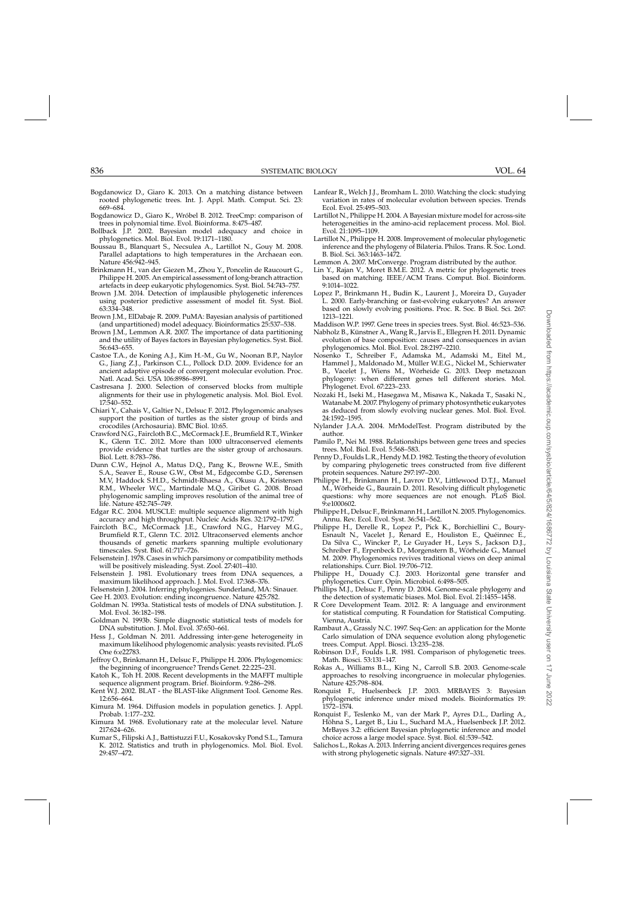- <span id="page-13-0"></span>Bogdanowicz D., Giaro K. 2013. On a matching distance between rooted phylogenetic trees. Int. J. Appl. Math. Comput. Sci. 23: 669–684.
- Bogdanowicz D., Giaro K., Wróbel B. 2012. TreeCmp: comparison of trees in polynomial time. Evol. Bioinforma. 8:475–487.
- Bollback J.P. 2002. Bayesian model adequacy and choice in phylogenetics. Mol. Biol. Evol. 19:1171–1180.
- Boussau B., Blanquart S., Necsulea A., Lartillot N., Gouy M. 2008. Parallel adaptations to high temperatures in the Archaean eon. Nature 456:942–945.
- Brinkmann H., van der Giezen M., Zhou Y., Poncelin de Raucourt G., Philippe H. 2005. An empirical assessment of long-branch attraction artefacts in deep eukaryotic phylogenomics. Syst. Biol. 54:743–757.
- Brown J.M. 2014. Detection of implausible phylogenetic inferences using posterior predictive assessment of model fit. Syst. Biol. 63:334–348.
- Brown J.M., ElDabaje R. 2009. PuMA: Bayesian analysis of partitioned (and unpartitioned) model adequacy. Bioinformatics 25:537–538.
- Brown J.M., Lemmon A.R. 2007. The importance of data partitioning and the utility of Bayes factors in Bayesian phylogenetics. Syst. Biol. 56:643–655.
- Castoe T.A., de Koning A.J., Kim H.-M., Gu W., Noonan B.P., Naylor G., Jiang Z.J., Parkinson C.L., Pollock D.D. 2009. Evidence for an ancient adaptive episode of convergent molecular evolution. Proc. Natl. Acad. Sci. USA 106:8986–8991.
- Castresana J. 2000. Selection of conserved blocks from multiple alignments for their use in phylogenetic analysis. Mol. Biol. Evol. 17:540–552.
- Chiari Y., Cahais V., Galtier N., Delsuc F. 2012. Phylogenomic analyses support the position of turtles as the sister group of birds and crocodiles (Archosauria). BMC Biol. 10:65.
- Crawford N.G., Faircloth B.C., McCormack J.E., Brumfield R.T.,Winker K., Glenn T.C. 2012. More than 1000 ultraconserved elements provide evidence that turtles are the sister group of archosaurs. Biol. Lett. 8:783–786.
- Dunn C.W., Hejnol A., Matus D.Q., Pang K., Browne W.E., Smith S.A., Seaver E., Rouse G.W., Obst M., Edgecombe G.D., Sørensen M.V, Haddock S.H.D., Schmidt-Rhaesa A., Okusu A., Kristensen R.M., Wheeler W.C., Martindale M.Q., Giribet G. 2008. Broad phylogenomic sampling improves resolution of the animal tree of life. Nature 452:745–749.
- Edgar R.C. 2004. MUSCLE: multiple sequence alignment with high accuracy and high throughput. Nucleic Acids Res. 32:1792–1797.
- Faircloth B.C., McCormack J.E., Crawford N.G., Harvey M.G., Brumfield R.T., Glenn T.C. 2012. Ultraconserved elements anchor thousands of genetic markers spanning multiple evolutionary timescales. Syst. Biol. 61:717–726.
- Felsenstein J. 1978. Cases in which parsimony or compatibility methods will be positively misleading. Syst. Zool. 27:401–410.
- Felsenstein J. 1981. Evolutionary trees from DNA sequences, a maximum likelihood approach. J. Mol. Evol. 17:368–376.
- Felsenstein J. 2004. Inferring phylogenies. Sunderland, MA: Sinauer.
- Gee H. 2003. Evolution: ending incongruence. Nature 425:782.
- Goldman N. 1993a. Statistical tests of models of DNA substitution. J. Mol. Evol. 36:182–198.
- Goldman N. 1993b. Simple diagnostic statistical tests of models for DNA substitution. J. Mol. Evol. 37:650–661.
- Hess J., Goldman N. 2011. Addressing inter-gene heterogeneity in maximum likelihood phylogenomic analysis: yeasts revisited. PLoS One 6:e22783.
- Jeffroy O., Brinkmann H., Delsuc F., Philippe H. 2006. Phylogenomics: the beginning of incongruence? Trends Genet. 22:225–231.
- Katoh K., Toh H. 2008. Recent developments in the MAFFT multiple sequence alignment program. Brief. Bioinform. 9:286–298.
- Kent W.J. 2002. BLAT the BLAST-like Alignment Tool. Genome Res. 12:656–664.
- Kimura M. 1964. Diffusion models in population genetics. J. Appl. Probab. 1:177–232.
- Kimura M. 1968. Evolutionary rate at the molecular level. Nature 217:624–626.
- Kumar S., Filipski A.J., Battistuzzi F.U., Kosakovsky Pond S.L., Tamura K. 2012. Statistics and truth in phylogenomics. Mol. Biol. Evol. 29:457–472.
- Lanfear R., Welch J.J., Bromham L. 2010. Watching the clock: studying variation in rates of molecular evolution between species. Trends Ecol. Evol. 25:495–503.
- Lartillot N., Philippe H. 2004. A Bayesian mixture model for across-site heterogeneities in the amino-acid replacement process. Mol. Biol. Evol.  $21.1095 - 1109$ .
- Lartillot N., Philippe H. 2008. Improvement of molecular phylogenetic inference and the phylogeny of Bilateria. Philos. Trans. R. Soc. Lond. B. Biol. Sci. 363:1463–1472.
- Lemmon A. 2007. MrConverge. Program distributed by the author.
- Lin Y., Rajan V., Moret B.M.E. 2012. A metric for phylogenetic trees based on matching. IEEE/ACM Trans. Comput. Biol. Bioinform. 9:1014–1022.
- Lopez P., Brinkmann H., Budin K., Laurent J., Moreira D., Guyader L. 2000. Early-branching or fast-evolving eukaryotes? An answer based on slowly evolving positions. Proc. R. Soc. B Biol. Sci. 267: 1213–1221.
- Maddison W.P. 1997. Gene trees in species trees. Syst. Biol. 46:523–536.
- Nabholz B., Künstner A., Wang R., Jarvis E., Ellegren H. 2011. Dynamic evolution of base composition: causes and consequences in avian phylogenomics. Mol. Biol. Evol. 28:2197–2210.
- Nosenko T., Schreiber F., Adamska M., Adamski M., Eitel M., Hammel J., Maldonado M., Müller W.E.G., Nickel M., Schierwater B., Vacelet J., Wiens M., Wörheide G. 2013. Deep metazoan phylogeny: when different genes tell different stories. Mol. Phylogenet. Evol. 67:223–233.
- Nozaki H., Iseki M., Hasegawa M., Misawa K., Nakada T., Sasaki N., WatanabeM. 2007. Phylogeny of primary photosynthetic eukaryotes as deduced from slowly evolving nuclear genes. Mol. Biol. Evol. 24:1592–1595.
- Nylander J.A.A. 2004. MrModelTest. Program distributed by the author.
- Pamilo P., Nei M. 1988. Relationships between gene trees and species trees. Mol. Biol. Evol. 5:568–583.
- Penny D., Foulds L.R., HendyM.D. 1982. Testing the theory of evolution by comparing phylogenetic trees constructed from five different protein sequences. Nature 297:197–200.
- Philippe H., Brinkmann H., Lavrov D.V., Littlewood D.T.J., Manuel M., Wörheide G., Baurain D. 2011. Resolving difficult phylogenetic questions: why more sequences are not enough. PLoS Biol. 9:e1000602.
- Philippe H., Delsuc F., Brinkmann H., Lartillot N. 2005. Phylogenomics. Annu. Rev. Ecol. Evol. Syst. 36:541–562.
- Philippe H., Derelle R., Lopez P., Pick K., Borchiellini C., Boury-Esnault N., Vacelet J., Renard E., Houliston E., Quéinnec E., Da Silva C., Wincker P., Le Guyader H., Leys S., Jackson D.J., Schreiber F., Erpenbeck D., Morgenstern B., Wörheide G., Manuel M. 2009. Phylogenomics revives traditional views on deep animal relationships. Curr. Biol. 19:706–712.
- Philippe H., Douady C.J. 2003. Horizontal gene transfer and phylogenetics. Curr. Opin. Microbiol. 6:498–505.
- Phillips M.J., Delsuc F., Penny D. 2004. Genome-scale phylogeny and the detection of systematic biases. Mol. Biol. Evol. 21:1455–1458.
- R Core Development Team. 2012. R: A language and environment for statistical computing. R Foundation for Statistical Computing. Vienna, Austria.
- Rambaut A., Grassly N.C. 1997. Seq-Gen: an application for the Monte Carlo simulation of DNA sequence evolution along phylogenetic trees. Comput. Appl. Biosci. 13:235–238.
- Robinson D.F., Foulds L.R. 1981. Comparison of phylogenetic trees. Math. Biosci. 53:131–147.
- Rokas A., Williams B.L., King N., Carroll S.B. 2003. Genome-scale approaches to resolving incongruence in molecular phylogenies. Nature 425:798–804.
- Ronquist F., Huelsenbeck J.P. 2003. MRBAYES 3: Bayesian phylogenetic inference under mixed models. Bioinformatics 19: 1572–1574.
- Ronquist F., Teslenko M., van der Mark P., Ayres D.L., Darling A., Höhna S., Larget B., Liu L., Suchard M.A., Huelsenbeck J.P. 2012. MrBayes 3.2: efficient Bayesian phylogenetic inference and model choice across a large model space. Syst. Biol. 61:539–542.
- Salichos L., Rokas A. 2013. Inferring ancient divergences requires genes with strong phylogenetic signals. Nature 497:327–331.